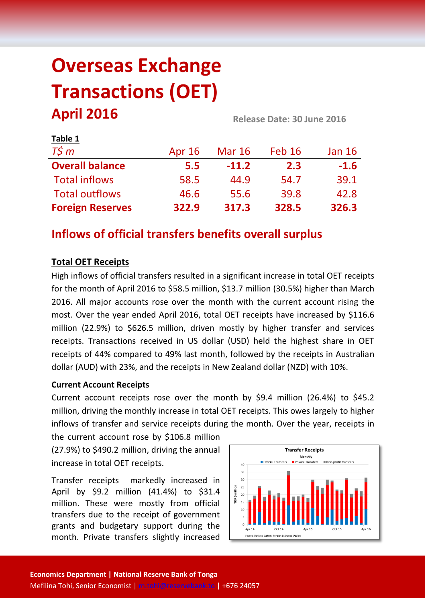# **Overseas Exchange Transactions (OET) April 2016 Release Date: 30 June <sup>2016</sup>**

| LANIC T                 |               |               |        |               |  |
|-------------------------|---------------|---------------|--------|---------------|--|
| $T\zeta m$              | <b>Apr 16</b> | <b>Mar 16</b> | Feb 16 | <b>Jan 16</b> |  |
| <b>Overall balance</b>  | 5.5           | $-11.2$       | 2.3    | $-1.6$        |  |
| <b>Total inflows</b>    | 58.5          | 44.9          | 54.7   | 39.1          |  |
| <b>Total outflows</b>   | 46.6          | 55.6          | 39.8   | 42.8          |  |
| <b>Foreign Reserves</b> | 322.9         | 317.3         | 328.5  | 326.3         |  |

# **Inflows of official transfers benefits overall surplus**

# **Total OET Receipts**

**Table 1**

High inflows of official transfers resulted in a significant increase in total OET receipts for the month of April 2016 to \$58.5 million, \$13.7 million (30.5%) higher than March 2016. All major accounts rose over the month with the current account rising the most. Over the year ended April 2016, total OET receipts have increased by \$116.6 million (22.9%) to \$626.5 million, driven mostly by higher transfer and services receipts. Transactions received in US dollar (USD) held the highest share in OET receipts of 44% compared to 49% last month, followed by the receipts in Australian dollar (AUD) with 23%, and the receipts in New Zealand dollar (NZD) with 10%.

## **Current Account Receipts**

Current account receipts rose over the month by \$9.4 million (26.4%) to \$45.2 million, driving the monthly increase in total OET receipts. This owes largely to higher inflows of transfer and service receipts during the month. Over the year, receipts in

the current account rose by \$106.8 million (27.9%) to \$490.2 million, driving the annual increase in total OET receipts.

Transfer receipts markedly increased in April by \$9.2 million (41.4%) to \$31.4 million. These were mostly from official transfers due to the receipt of government grants and budgetary support during the month. Private transfers slightly increased

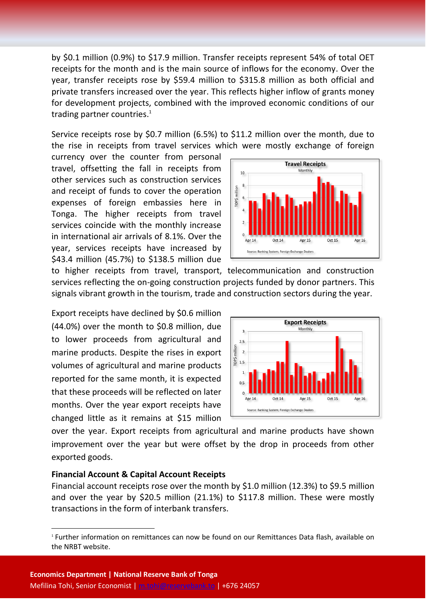by \$0.1 million (0.9%) to \$17.9 million. Transfer receipts represent 54% of total OET receipts for the month and is the main source of inflows for the economy. Over the year, transfer receipts rose by \$59.4 million to \$315.8 million as both official and private transfers increased over the year. This reflects higher inflow of grants money for development projects, combined with the improved economic conditions of our trading partner countries.<sup>1</sup>

Service receipts rose by \$0.7 million (6.5%) to \$11.2 million over the month, due to the rise in receipts from travel services which were mostly exchange of foreign

currency over the counter from personal travel, offsetting the fall in receipts from other services such as construction services and receipt of funds to cover the operation expenses of foreign embassies here in Tonga. The higher receipts from travel services coincide with the monthly increase in international air arrivals of 8.1%. Over the year, services receipts have increased by \$43.4 million (45.7%) to \$138.5 million due



to higher receipts from travel, transport, telecommunication and construction services reflecting the on-going construction projects funded by donor partners. This signals vibrant growth in the tourism, trade and construction sectors during the year.

Export receipts have declined by \$0.6 million (44.0%) over the month to \$0.8 million, due to lower proceeds from agricultural and marine products. Despite the rises in export volumes of agricultural and marine products reported for the same month, it is expected that these proceeds will be reflected on later months. Over the year export receipts have changed little as it remains at \$15 million



over the year. Export receipts from agricultural and marine products have shown improvement over the year but were offset by the drop in proceeds from other exported goods.

#### **Financial Account & Capital Account Receipts**

**.** 

Financial account receipts rose over the month by \$1.0 million (12.3%) to \$9.5 million and over the year by \$20.5 million (21.1%) to \$117.8 million. These were mostly transactions in the form of interbank transfers.

<sup>1</sup> Further information on remittances can now be found on our Remittances Data flash, available on the NRBT website.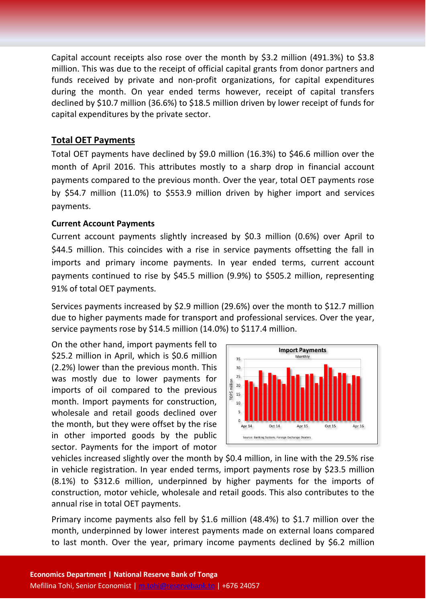Capital account receipts also rose over the month by \$3.2 million (491.3%) to \$3.8 million. This was due to the receipt of official capital grants from donor partners and funds received by private and non-profit organizations, for capital expenditures during the month. On year ended terms however, receipt of capital transfers declined by \$10.7 million (36.6%) to \$18.5 million driven by lower receipt of funds for capital expenditures by the private sector.

### **Total OET Payments**

Total OET payments have declined by \$9.0 million (16.3%) to \$46.6 million over the month of April 2016. This attributes mostly to a sharp drop in financial account payments compared to the previous month. Over the year, total OET payments rose by \$54.7 million (11.0%) to \$553.9 million driven by higher import and services payments.

#### **Current Account Payments**

Current account payments slightly increased by \$0.3 million (0.6%) over April to \$44.5 million. This coincides with a rise in service payments offsetting the fall in imports and primary income payments. In year ended terms, current account payments continued to rise by \$45.5 million (9.9%) to \$505.2 million, representing 91% of total OET payments.

Services payments increased by \$2.9 million (29.6%) over the month to \$12.7 million due to higher payments made for transport and professional services. Over the year, service payments rose by \$14.5 million (14.0%) to \$117.4 million.

On the other hand, import payments fell to \$25.2 million in April, which is \$0.6 million (2.2%) lower than the previous month. This was mostly due to lower payments for imports of oil compared to the previous month. Import payments for construction, wholesale and retail goods declined over the month, but they were offset by the rise in other imported goods by the public sector. Payments for the import of motor



vehicles increased slightly over the month by \$0.4 million, in line with the 29.5% rise in vehicle registration. In year ended terms, import payments rose by \$23.5 million (8.1%) to \$312.6 million, underpinned by higher payments for the imports of construction, motor vehicle, wholesale and retail goods. This also contributes to the annual rise in total OET payments.

Primary income payments also fell by \$1.6 million (48.4%) to \$1.7 million over the month, underpinned by lower interest payments made on external loans compared to last month. Over the year, primary income payments declined by \$6.2 million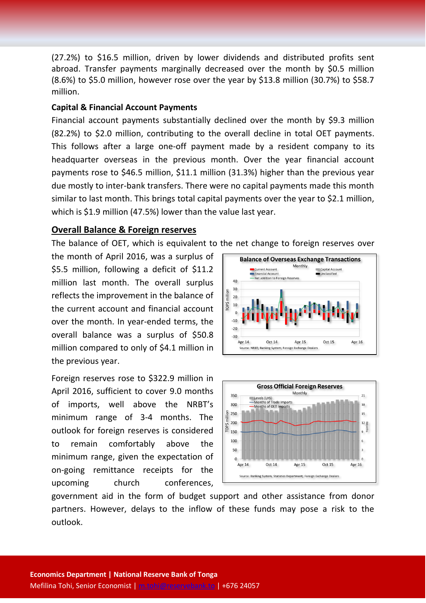(27.2%) to \$16.5 million, driven by lower dividends and distributed profits sent abroad. Transfer payments marginally decreased over the month by \$0.5 million (8.6%) to \$5.0 million, however rose over the year by \$13.8 million (30.7%) to \$58.7 million.

#### **Capital & Financial Account Payments**

Financial account payments substantially declined over the month by \$9.3 million (82.2%) to \$2.0 million, contributing to the overall decline in total OET payments. This follows after a large one-off payment made by a resident company to its headquarter overseas in the previous month. Over the year financial account payments rose to \$46.5 million, \$11.1 million (31.3%) higher than the previous year due mostly to inter-bank transfers. There were no capital payments made this month similar to last month. This brings total capital payments over the year to \$2.1 million, which is \$1.9 million (47.5%) lower than the value last year.

#### **Overall Balance & Foreign reserves**

The balance of OET, which is equivalent to the net change to foreign reserves over

the month of April 2016, was a surplus of \$5.5 million, following a deficit of \$11.2 million last month. The overall surplus reflects the improvement in the balance of the current account and financial account over the month. In year-ended terms, the overall balance was a surplus of \$50.8 million compared to only of \$4.1 million in the previous year.

Foreign reserves rose to \$322.9 million in April 2016, sufficient to cover 9.0 months of imports, well above the NRBT's minimum range of 3-4 months. The outlook for foreign reserves is considered to remain comfortably above the minimum range, given the expectation of on-going remittance receipts for the upcoming church conferences,





government aid in the form of budget support and other assistance from donor partners. However, delays to the inflow of these funds may pose a risk to the outlook.